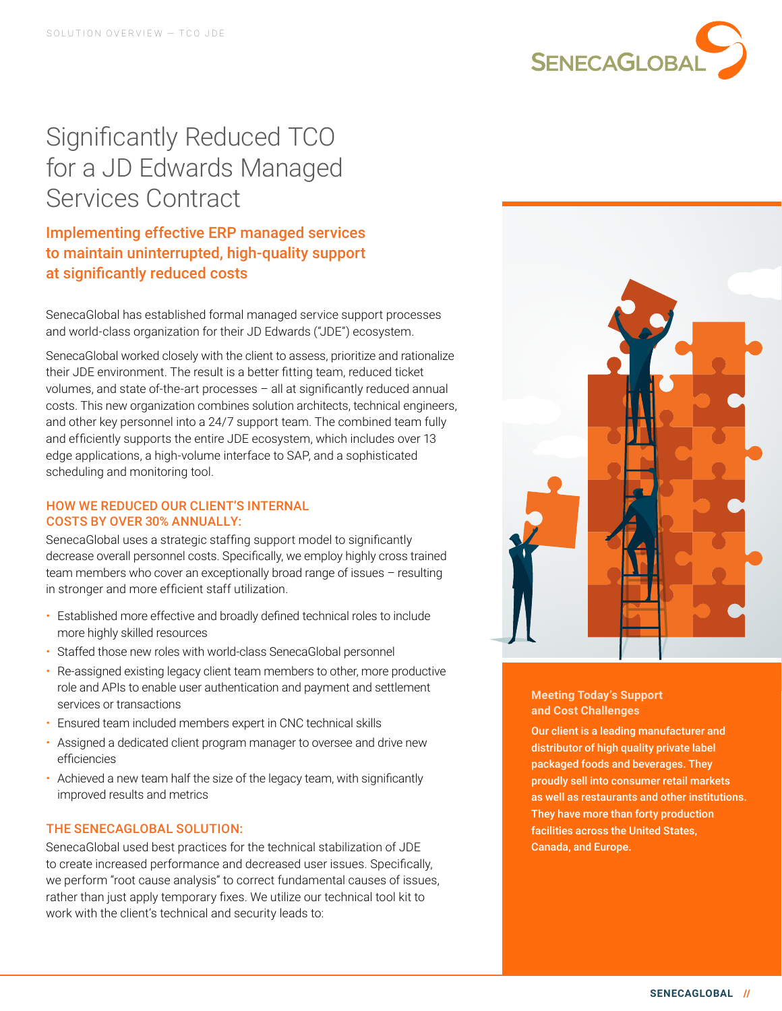

# Significantly Reduced TCO for a JD Edwards Managed Services Contract

Implementing effective ERP managed services to maintain uninterrupted, high-quality support at significantly reduced costs

SenecaGlobal has established formal managed service support processes and world-class organization for their JD Edwards ("JDE") ecosystem.

SenecaGlobal worked closely with the client to assess, prioritize and rationalize their JDE environment. The result is a better fitting team, reduced ticket volumes, and state of-the-art processes – all at significantly reduced annual costs. This new organization combines solution architects, technical engineers, and other key personnel into a 24/7 support team. The combined team fully and efficiently supports the entire JDE ecosystem, which includes over 13 edge applications, a high-volume interface to SAP, and a sophisticated scheduling and monitoring tool.

### HOW WE REDUCED OUR CLIENT'S INTERNAL COSTS BY OVER 30% ANNUALLY:

SenecaGlobal uses a strategic staffing support model to significantly decrease overall personnel costs. Specifically, we employ highly cross trained team members who cover an exceptionally broad range of issues – resulting in stronger and more efficient staff utilization.

- Established more effective and broadly defined technical roles to include more highly skilled resources
- Staffed those new roles with world-class SenecaGlobal personnel
- Re-assigned existing legacy client team members to other, more productive role and APIs to enable user authentication and payment and settlement services or transactions
- Ensured team included members expert in CNC technical skills
- Assigned a dedicated client program manager to oversee and drive new efficiencies
- Achieved a new team half the size of the legacy team, with significantly improved results and metrics

# THE SENECAGLOBAL SOLUTION:

SenecaGlobal used best practices for the technical stabilization of JDE to create increased performance and decreased user issues. Specifically, we perform "root cause analysis" to correct fundamental causes of issues, rather than just apply temporary fixes. We utilize our technical tool kit to work with the client's technical and security leads to:



**Meeting Today's Support and Cost Challenges**

Our client is a leading manufacturer and distributor of high quality private label packaged foods and beverages. They proudly sell into consumer retail markets as well as restaurants and other institutions. They have more than forty production facilities across the United States, Canada, and Europe.